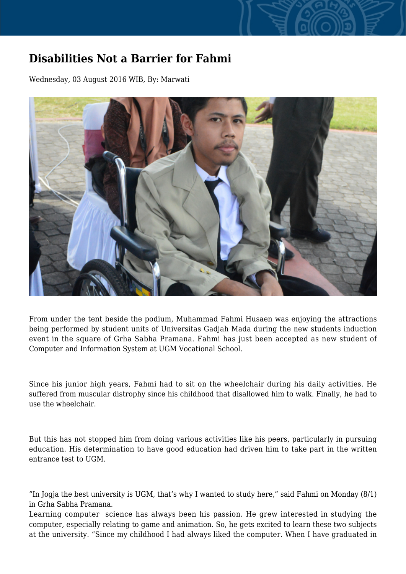## **Disabilities Not a Barrier for Fahmi**

Wednesday, 03 August 2016 WIB, By: Marwati



From under the tent beside the podium, Muhammad Fahmi Husaen was enjoying the attractions being performed by student units of Universitas Gadjah Mada during the new students induction event in the square of Grha Sabha Pramana. Fahmi has just been accepted as new student of Computer and Information System at UGM Vocational School.

Since his junior high years, Fahmi had to sit on the wheelchair during his daily activities. He suffered from muscular distrophy since his childhood that disallowed him to walk. Finally, he had to use the wheelchair.

But this has not stopped him from doing various activities like his peers, particularly in pursuing education. His determination to have good education had driven him to take part in the written entrance test to UGM.

"In Jogja the best university is UGM, that's why I wanted to study here," said Fahmi on Monday (8/1) in Grha Sabha Pramana.

Learning computer science has always been his passion. He grew interested in studying the computer, especially relating to game and animation. So, he gets excited to learn these two subjects at the university. "Since my childhood I had always liked the computer. When I have graduated in